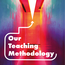# **Our Teaching Methodology**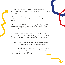

We've previously shared the principles we use to effectively teaching teenagers about money, it's time to take a closer look at the methodology.

When it comes to teaching teens about personal finance, there's not much difference in 'what' is taught, by various entities who take on this task.

And there are tons of tons of books and resources detailing what should be covered. From topics that range from Needs & Wants and Spending Styles, to Budgeting and Compound Interest, there's a universal commonality to the content being taught.

We however, have expanded on the usual content to include topics and aspects that are both intriguing and compelling - like behavioral finance and investing. But mainly what is different in our case, is 'how' we teach this to teenagers.

We have devised a number of models to ensure that the learning process is both compelling and enjoyable for the teenagers.

As I mentioned before, this isn't a skill we want our teens to learn just to tick the proverbial box; given how crucial and life-changing this skill is we need them to willingly absorb the learning, effectively retain it and then efficiently implement it.

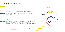### The first model is called the Triple T:

**Train** 

#### Try It Out

Whatever we teach them, serves to train their RAS (Reticular Activation System) to be more aware of situations around money.

**Teach** The next T stands for teach. Here we get the teens to commit to teaching everything they learned to at least one other person.

This effectively builds their awareness around the topic, which is a key part of financial empowerment. These teens now pay more attention to conversations around money and, they are sensitized to circumstances that involve money. As a result they are more mindful about what they spend on and other money decisions they take.

This step alone is extremely powerful as it gets them to think differently about money.

As with every model, each of the T's are powerful and effective in their own right but together they serve to leverage the entire learning process.

This is another powerful technique because when they teach, they learn twice, they learn better. There is something about teaching someone that encodes the information in a different way in their brains. Going over the content while teaching it, is a great way for them to efficiently revise and thus reinforce the content.



The feedback and reaction they get from the person they teach plays a big role in cementing the effectiveness of this strategy.

This third T, Try It Out, makes the learning tangible. When we end each session with how they can now practically use this information in their everyday lives, it brings the learning to life.

This dramatically increases their motivation because they see how it benefits them and this makes them eager to put into practice what they've learned.

It's important to do this for each concept of the program as it emphasizes the usefulness of each one, again serving to buttress their engagement and motivation.

These three steps ensure that the teens are actively engaging with the content, not just passively absorbing it.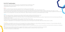## R.A.P.I.D. Transformation

Over the years of educating students about money, I've found that the R.A.P.I.D. transformation model detailed below leads to quick and lasting change. This models works in tandem with the Triple T model explained in the previous section.

#### Revise:

Revision of content previously covered is key, especially as this isn't taught as a test oriented subject.

Going over the main concepts covered in the last session, does a lot to scaffold the upcoming lesson, while reinforcing the past content. This is particularly important in this subject of financial education because each topic builds on the previous one and is critical for a in-depth understanding of the subject as a whole. It is also important as this is likely the first and only time these teens will undergo a formal training on the subject and so it's doubly important that the concepts are explained and understood well. Repetition in this context gets them to look at the content with fresh eyes, in light of what they've covered since, and this helps them gain new insights.

Asking them what they think about how they would advise someone to solve a problem gets them thinking critically about the problem. It helps them draw from their recent learnings and find ways to implement these concepts.

#### Advise:

Here I don't mean give advice, I mean get some case studies and ask the students what they would advise the person to do.

It's interesting to personalize the content when we can. For example if I know a student is studying to be a chef and dreams of opening his own restaurant, or if I know the students will be off to University and living on their own soon; I can personalize the examples to suit their particular situation. This works well because it gets their attention, as they are now seeing the content from a very personal point of view, which of course makes it more relevant and thus immensely more interesting to

Teens love this flipping of roles, especially since they are usually on the receiving end of advice from most grown-ups.

Giving advice also unconsciously makes them behave congruent to this advice in their own lives.

It's always amazing to see the well thought out advice these teens come up with in many situations where adults fumble regularly.

Getting them to repeatedly think in this mode helps them recognize patterns quicker and this helps them respond better when faced with these situations in real life.

#### Personalize:

them.

Personalizing it also has the effect of getting them to engage with the material in a way that's more meaningful and ultimately more memorable. It also has the added benefit of building richer relationships in class as students feel seen as individuals, not just a class as a whole. This makes more involved and committed students.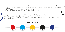Internalize:

This is where we ensure that students are so well versed in the topics that we have moved them from 'unconscious incompetence' where they didn't know that they didn't know; to a palace of 'unconscious competence'.

This is where they are so good at this skill that it becomes second nature to them. Kind of like riding a bike, they now know to ride and don't have to be so keenly conscious of their actions and movements when they are riding.

With regard to money, they no longer have to consciously think hard about their decisions, they automatically make the right ones because they have internalized the learnings so well and are implementing these learnings on a regular basis.

This is where we constantly devise ways increase the social interactions in class. While passive learning might feel easier, active learning is a whole lot more effective and long lasting. Teens learn best by discussing, debating and asking questions. Working together in small groups makes their ideas and brain circuits come alive. Teens also seem to enjoy it more and again this goes a long way to building richer relationships with the students, and also among students.

This doesn't mean they are less mindful, it just means it takes less effort for them to make the right decisions.

As Dr. David Rock states in his book Your Brain at Work, there are additional benefits to harnessing the power of social interactions. There is a memory network that gets activated when information is social that turns out to be more robust than a memory without a social element.

This is because they have internalized the concepts and their brains are now effectively hardwired to work in that way.

#### Devise:

Devising ways to get the teens to open up and interact with each other takes the engagement and enjoyment level up several notches and has the added impact of making the learning more memorable. Win-win all around.

# R.A.P.I.D. Transformation